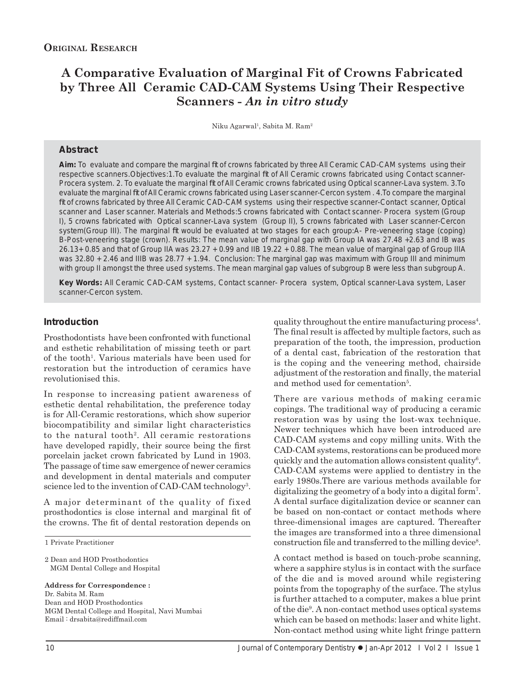# **A Comparative Evaluation of Marginal Fit of Crowns Fabricated by Three All Ceramic CAD-CAM Systems Using Their Respective Scanners -** *An in vitro study*

Niku Agarwal<sup>1</sup>, Sabita M. Ram<sup>2</sup>

#### **Abstract**

Aim: To evaluate and compare the marginal fit of crowns fabricated by three All Ceramic CAD-CAM systems using their respective scanners. Objectives: 1. To evaluate the marginal fit of All Ceramic crowns fabricated using Contact scanner-Procera system. 2. To evaluate the marginal fit of All Ceramic crowns fabricated using Optical scanner-Lava system. 3.To evaluate the marginal fi t of All Ceramic crowns fabricated using Laser scanner-Cercon system . 4.To compare the marginal fit of crowns fabricated by three All Ceramic CAD-CAM systems using their respective scanner-Contact scanner, Optical scanner and Laser scanner. Materials and Methods:5 crowns fabricated with Contact scanner- Procera system (Group I), 5 crowns fabricated with Optical scanner-Lava system (Group II), 5 crowns fabricated with Laser scanner-Cercon system(Group III). The marginal fit would be evaluated at two stages for each group:A- Pre-veneering stage (coping) B-Post-veneering stage (crown). Results: The mean value of marginal gap with Group IA was 27.48 +2.63 and IB was 26.13+ 0.85 and that of Group IIA was 23.27 + 0.99 and IIB 19.22 + 0.88. The mean value of marginal gap of Group IIIA was 32.80 + 2.46 and IIIB was 28.77 + 1.94. Conclusion: The marginal gap was maximum with Group III and minimum with group II amongst the three used systems. The mean marginal gap values of subgroup B were less than subgroup A.

*Key Words:* All Ceramic CAD-CAM systems, Contact scanner- Procera system, Optical scanner-Lava system, Laser scanner-Cercon system.

#### **Introduction**

Prosthodontists have been confronted with functional and esthetic rehabilitation of missing teeth or part of the tooth<sup>1</sup>. Various materials have been used for restoration but the introduction of ceramics have revolutionised this.

In response to increasing patient awareness of esthetic dental rehabilitation, the preference today is for All-Ceramic restorations, which show superior biocompatibility and similar light characteristics to the natural tooth2. All ceramic restorations have developed rapidly, their source being the first porcelain jacket crown fabricated by Lund in 1903. The passage of time saw emergence of newer ceramics and development in dental materials and computer science led to the invention of CAD-CAM technology<sup>3</sup>.

A major determinant of the quality of fixed prosthodontics is close internal and marginal fit of the crowns. The fit of dental restoration depends on

1 Private Practitioner

2 Dean and HOD Prosthodontics MGM Dental College and Hospital

**Address for Correspondence :** Dr. Sabita M. Ram Dean and HOD Prosthodontics MGM Dental College and Hospital, Navi Mumbai Email : drsabita@rediffmail.com

quality throughout the entire manufacturing process<sup>4</sup>. The final result is affected by multiple factors, such as preparation of the tooth, the impression, production of a dental cast, fabrication of the restoration that is the coping and the veneering method, chairside adjustment of the restoration and finally, the material and method used for cementation<sup>5</sup>.

There are various methods of making ceramic copings. The traditional way of producing a ceramic restoration was by using the lost-wax technique. Newer techniques which have been introduced are CAD-CAM systems and copy milling units. With the CAD-CAM systems, restorations can be produced more quickly and the automation allows consistent quality<sup>6</sup>. CAD-CAM systems were applied to dentistry in the early 1980s.There are various methods available for digitalizing the geometry of a body into a digital form7 . A dental surface digitalization device or scanner can be based on non-contact or contact methods where three-dimensional images are captured. Thereafter the images are transformed into a three dimensional construction file and transferred to the milling device<sup>8</sup>.

A contact method is based on touch-probe scanning, where a sapphire stylus is in contact with the surface of the die and is moved around while registering points from the topography of the surface. The stylus is further attached to a computer, makes a blue print of the die9 . A non-contact method uses optical systems which can be based on methods: laser and white light. Non-contact method using white light fringe pattern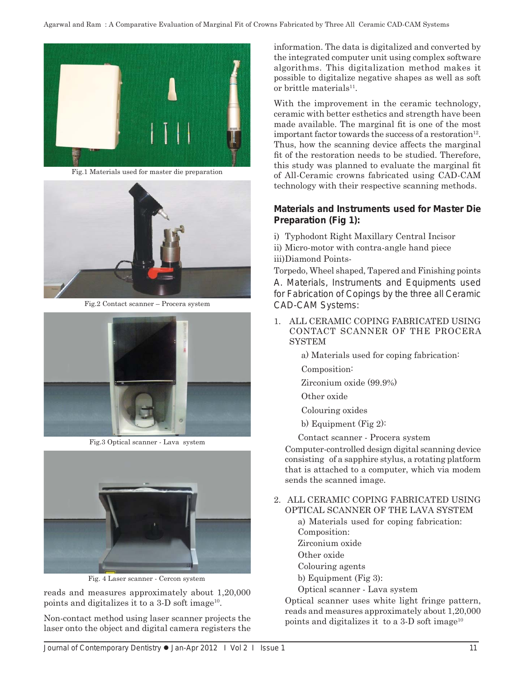

Fig.1 Materials used for master die preparation



Fig.2 Contact scanner – Procera system



Fig.3 Optical scanner - Lava system



Fig. 4 Laser scanner - Cercon system

reads and measures approximately about 1,20,000 points and digitalizes it to a  $3-D$  soft image<sup>10</sup>.

Non-contact method using laser scanner projects the laser onto the object and digital camera registers the information. The data is digitalized and converted by the integrated computer unit using complex software algorithms. This digitalization method makes it possible to digitalize negative shapes as well as soft or brittle materials $11$ .

With the improvement in the ceramic technology, ceramic with better esthetics and strength have been made available. The marginal fit is one of the most important factor towards the success of a restoration<sup>12</sup>. Thus, how the scanning device affects the marginal fit of the restoration needs to be studied. Therefore, this study was planned to evaluate the marginal fit of All-Ceramic crowns fabricated using CAD-CAM technology with their respective scanning methods.

### **Materials and Instruments used for Master Die Preparation (Fig 1):**

i) Typhodont Right Maxillary Central Incisor

ii) Micro-motor with contra-angle hand piece iii) Diamond Points-

Torpedo, Wheel shaped, Tapered and Finishing points A. Materials, Instruments and Equipments used for Fabrication of Copings by the three all Ceramic CAD-CAM Systems:

1. ALL CERAMIC COPING FABRICATED USING CONTACT SCANNER OF THE PROCERA SYSTEM

a) Materials used for coping fabrication:

Composition:

Zirconium oxide (99.9%)

Other oxide

Colouring oxides

b) Equipment (Fig 2):

Contact scanner - Procera system

 Computer-controlled design digital scanning device consisting of a sapphire stylus, a rotating platform that is attached to a computer, which via modem sends the scanned image.

2. ALL CERAMIC COPING FABRICATED USING OPTICAL SCANNER OF THE LAVA SYSTEM

> a) Materials used for coping fabrication: Composition: Zirconium oxide

Other oxide

Colouring agents

b) Equipment (Fig 3):

Optical scanner - Lava system

 Optical scanner uses white light fringe pattern, reads and measures approximately about 1,20,000 points and digitalizes it to a  $3-D$  soft image<sup>10</sup>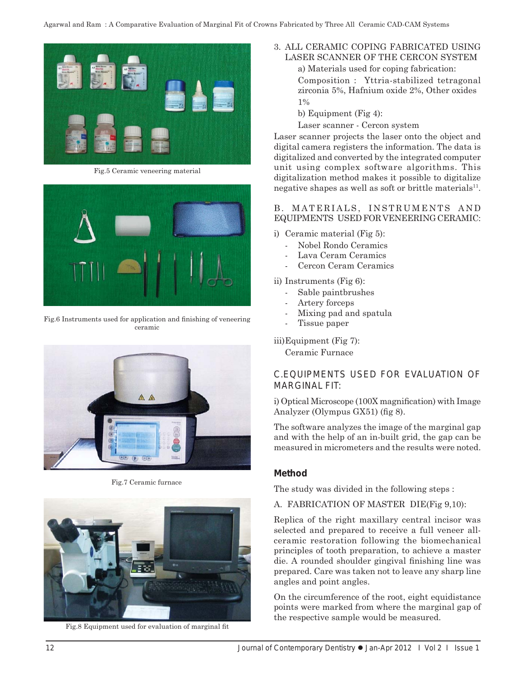

Fig.5 Ceramic veneering material



Fig.6 Instruments used for application and finishing of veneering ceramic



Fig.7 Ceramic furnace



Fig.8 Equipment used for evaluation of marginal fit

# 3. ALL CERAMIC COPING FABRICATED USING LASER SCANNER OF THE CERCON SYSTEM

 a) Materials used for coping fabrication: Composition : Yttria-stabilized tetragonal zirconia 5%, Hafnium oxide 2%, Other oxides 1%

- b) Equipment (Fig 4):
- Laser scanner Cercon system

Laser scanner projects the laser onto the object and digital camera registers the information. The data is digitalized and converted by the integrated computer unit using complex software algorithms. This digitalization method makes it possible to digitalize negative shapes as well as soft or brittle materials<sup>11</sup>.

#### B. MATERIALS, INSTRUMENTS AND EQUIPMENTS USED FOR VENEERING CERAMIC:

- i) Ceramic material (Fig 5):
	- Nobel Rondo Ceramics
	- Lava Ceram Ceramics
	- Cercon Ceram Ceramics
- ii) Instruments (Fig 6):
	- Sable paintbrushes
	- Artery forceps
	- Mixing pad and spatula
	- Tissue paper

iii) Equipment (Fig 7):

Ceramic Furnace

# C.EQUIPMENTS USED FOR EVALUATION OF MARGINAL FIT:

i) Optical Microscope  $(100X)$  magnification) with Image Analyzer (Olympus  $GX51$ ) (fig 8).

The software analyzes the image of the marginal gap and with the help of an in-built grid, the gap can be measured in micrometers and the results were noted.

### **Method**

The study was divided in the following steps :

#### A. FABRICATION OF MASTER DIE(Fig 9,10):

Replica of the right maxillary central incisor was selected and prepared to receive a full veneer allceramic restoration following the biomechanical principles of tooth preparation, to achieve a master die. A rounded shoulder gingival finishing line was prepared. Care was taken not to leave any sharp line angles and point angles.

On the circumference of the root, eight equidistance points were marked from where the marginal gap of the respective sample would be measured.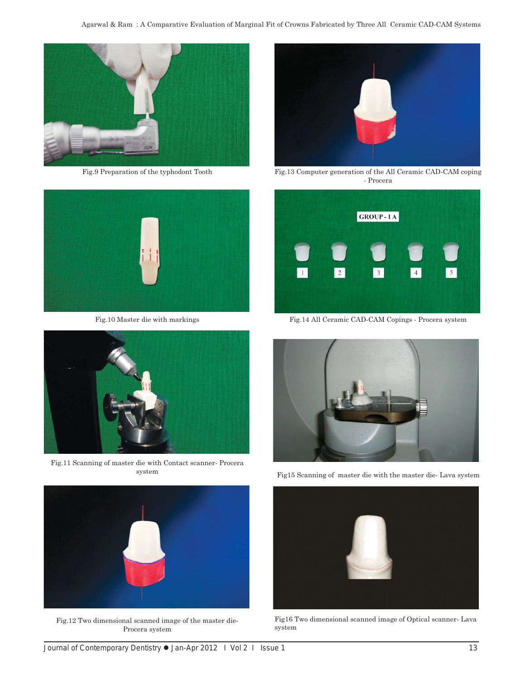

Fig.9 Preparation of the typhodont Tooth



Fig.10 Master die with markings



Fig.11 Scanning of master die with Contact scanner- Procera system



Fig.12 Two dimensional scanned image of the master die-Procera system



Fig.13 Computer generation of the All Ceramic CAD-CAM coping - Procera



Fig.14 All Ceramic CAD-CAM Copings - Procera system



Fig15 Scanning of master die with the master die- Lava system



Fig16 Two dimensional scanned image of Optical scanner- Lava system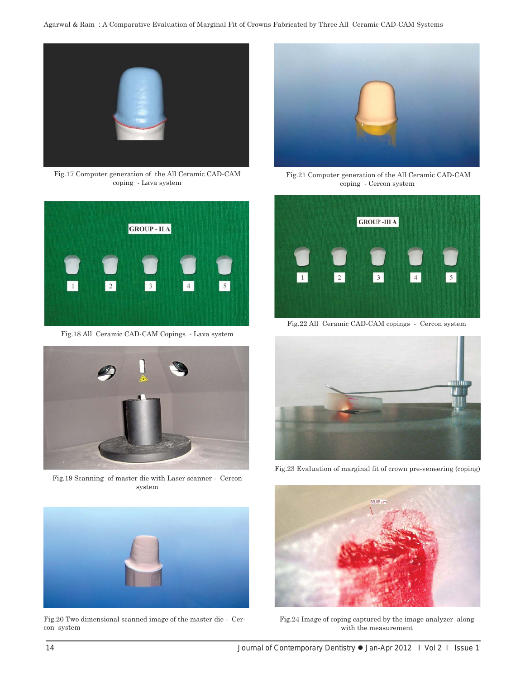

Fig.17 Computer generation of the All Ceramic CAD-CAM coping - Lava system



Fig.18 All Ceramic CAD-CAM Copings - Lava system



Fig.19 Scanning of master die with Laser scanner - Cercon system



Fig.20 Two dimensional scanned image of the master die - Cercon system



 Fig.21 Computer generation of the All Ceramic CAD-CAM coping - Cercon system



Fig.22 All Ceramic CAD-CAM copings - Cercon system



Fig.23 Evaluation of marginal fit of crown pre-veneering (coping)



Fig.24 Image of coping captured by the image analyzer along with the measurement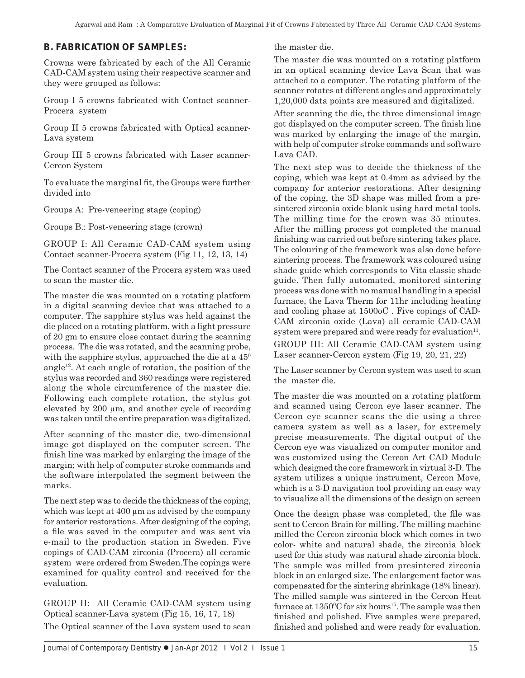# **B. FABRICATION OF SAMPLES:**

Crowns were fabricated by each of the All Ceramic CAD-CAM system using their respective scanner and they were grouped as follows:

Group I 5 crowns fabricated with Contact scanner-Procera system

Group II 5 crowns fabricated with Optical scanner-Lava system

Group III 5 crowns fabricated with Laser scanner-Cercon System

To evaluate the marginal fit, the Groups were further divided into

Groups A: Pre-veneering stage (coping)

Groups B.: Post-veneering stage (crown)

GROUP I: All Ceramic CAD-CAM system using Contact scanner-Procera system (Fig 11, 12, 13, 14)

The Contact scanner of the Procera system was used to scan the master die.

The master die was mounted on a rotating platform in a digital scanning device that was attached to a computer. The sapphire stylus was held against the die placed on a rotating platform, with a light pressure of 20 gm to ensure close contact during the scanning process. The die was rotated, and the scanning probe, with the sapphire stylus, approached the die at a  $45^{\circ}$ angle<sup>12</sup>. At each angle of rotation, the position of the stylus was recorded and 360 readings were registered along the whole circumference of the master die. Following each complete rotation, the stylus got elevated by 200 μm, and another cycle of recording was taken until the entire preparation was digitalized.

After scanning of the master die, two-dimensional image got displayed on the computer screen. The finish line was marked by enlarging the image of the margin; with help of computer stroke commands and the software interpolated the segment between the marks.

The next step was to decide the thickness of the coping, which was kept at 400 μm as advised by the company for anterior restorations. After designing of the coping, a file was saved in the computer and was sent via e-mail to the production station in Sweden. Five copings of CAD-CAM zirconia (Procera) all ceramic system were ordered from Sweden.The copings were examined for quality control and received for the evaluation.

GROUP II: All Ceramic CAD-CAM system using Optical scanner-Lava system (Fig 15, 16, 17, 18) The Optical scanner of the Lava system used to scan the master die.

The master die was mounted on a rotating platform in an optical scanning device Lava Scan that was attached to a computer. The rotating platform of the scanner rotates at different angles and approximately 1,20,000 data points are measured and digitalized.

After scanning the die, the three dimensional image got displayed on the computer screen. The finish line was marked by enlarging the image of the margin, with help of computer stroke commands and software Lava CAD.

The next step was to decide the thickness of the coping, which was kept at 0.4mm as advised by the company for anterior restorations. After designing of the coping, the 3D shape was milled from a presintered zirconia oxide blank using hard metal tools. The milling time for the crown was 35 minutes. After the milling process got completed the manual finishing was carried out before sintering takes place. The colouring of the framework was also done before sintering process. The framework was coloured using shade guide which corresponds to Vita classic shade guide. Then fully automated, monitored sintering process was done with no manual handling in a special furnace, the Lava Therm for 11hr including heating and cooling phase at 1500oC . Five copings of CAD-CAM zirconia oxide (Lava) all ceramic CAD-CAM system were prepared and were ready for evaluation $11$ .

GROUP III: All Ceramic CAD-CAM system using Laser scanner-Cercon system (Fig 19, 20, 21, 22)

The Laser scanner by Cercon system was used to scan the master die.

The master die was mounted on a rotating platform and scanned using Cercon eye laser scanner. The Cercon eye scanner scans the die using a three camera system as well as a laser, for extremely precise measurements. The digital output of the Cercon eye was visualized on computer monitor and was customized using the Cercon Art CAD Module which designed the core framework in virtual 3-D. The system utilizes a unique instrument, Cercon Move, which is a 3-D navigation tool providing an easy way to visualize all the dimensions of the design on screen

Once the design phase was completed, the file was sent to Cercon Brain for milling. The milling machine milled the Cercon zirconia block which comes in two color- white and natural shade, the zirconia block used for this study was natural shade zirconia block. The sample was milled from presintered zirconia block in an enlarged size. The enlargement factor was compensated for the sintering shrinkage (18% linear). The milled sample was sintered in the Cercon Heat furnace at  $1350^{\circ}$ C for six hours<sup>15</sup>. The sample was then finished and polished. Five samples were prepared, finished and polished and were ready for evaluation.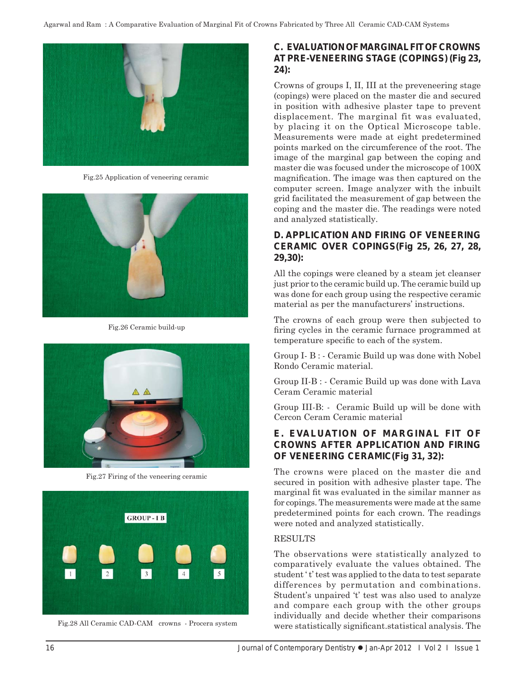

Fig.25 Application of veneering ceramic



Fig.26 Ceramic build-up



Fig.27 Firing of the veneering ceramic



Fig.28 All Ceramic CAD-CAM crowns - Procera system

### **C. EVALUATION OF MARGINAL FIT OF CROWNS AT PRE-VENEERING STAGE (COPINGS) (Fig 23, 24):**

Crowns of groups I, II, III at the preveneering stage (copings) were placed on the master die and secured in position with adhesive plaster tape to prevent displacement. The marginal fit was evaluated, by placing it on the Optical Microscope table. Measurements were made at eight predetermined points marked on the circumference of the root. The image of the marginal gap between the coping and master die was focused under the microscope of 100X magnification. The image was then captured on the computer screen. Image analyzer with the inbuilt grid facilitated the measurement of gap between the coping and the master die. The readings were noted and analyzed statistically.

# **D. APPLICATION AND FIRING OF VENEERING CERAMIC OVER COPINGS(Fig 25, 26, 27, 28, 29,30):**

All the copings were cleaned by a steam jet cleanser just prior to the ceramic build up. The ceramic build up was done for each group using the respective ceramic material as per the manufacturers' instructions.

The crowns of each group were then subjected to firing cycles in the ceramic furnace programmed at temperature specific to each of the system.

Group I- B : - Ceramic Build up was done with Nobel Rondo Ceramic material.

Group II-B : - Ceramic Build up was done with Lava Ceram Ceramic material

Group III-B: - Ceramic Build up will be done with Cercon Ceram Ceramic material

# **E. EVALUATION OF MARGINAL FIT OF CROWNS AFTER APPLICATION AND FIRING OF VENEERING CERAMIC(Fig 31, 32):**

The crowns were placed on the master die and secured in position with adhesive plaster tape. The marginal fit was evaluated in the similar manner as for copings. The measurements were made at the same predetermined points for each crown. The readings were noted and analyzed statistically.

#### RESULTS

The observations were statistically analyzed to comparatively evaluate the values obtained. The student 't' test was applied to the data to test separate differences by permutation and combinations. Student's unpaired 't' test was also used to analyze and compare each group with the other groups individually and decide whether their comparisons were statistically significant statistical analysis. The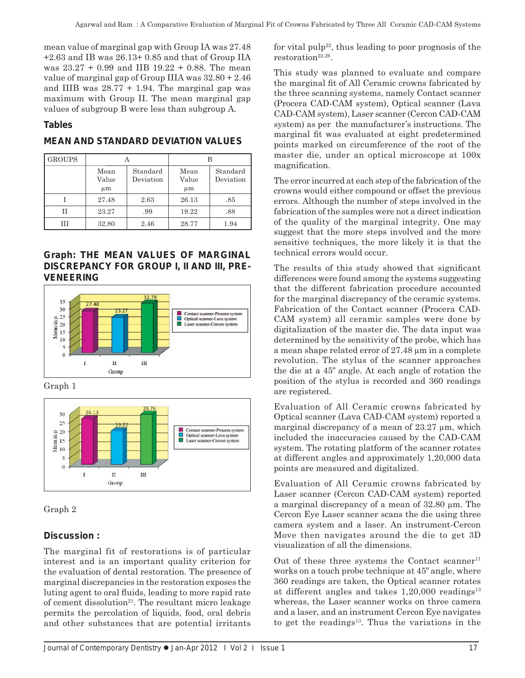mean value of marginal gap with Group IA was 27.48 +2.63 and IB was 26.13+ 0.85 and that of Group IIA was 23.27 + 0.99 and IIB 19.22 + 0.88. The mean value of marginal gap of Group IIIA was 32.80 + 2.46 and IIIB was  $28.77 + 1.94$ . The marginal gap was maximum with Group II. The mean marginal gap values of subgroup B were less than subgroup A.

# **Tables**

| <b>GROUPS</b> |                     |                       |                     |                       |
|---------------|---------------------|-----------------------|---------------------|-----------------------|
|               | Mean<br>Value<br>μm | Standard<br>Deviation | Mean<br>Value<br>μm | Standard<br>Deviation |
|               | 27.48               | 2.63                  | 26.13               | .85                   |
| H             | 23.27               | .99                   | 19.22               | .88                   |
| Ħ             | 32.80               | 2.46                  | 28.77               | 1.94                  |

# **MEAN AND STANDARD DEVIATION VALUES**

### **Graph: THE MEAN VALUES OF MARGINAL DISCREPANCY FOR GROUP I, II AND III, PRE-VENEERING**



Graph 1





# **Discussion :**

The marginal fit of restorations is of particular interest and is an important quality criterion for the evaluation of dental restoration. The presence of marginal discrepancies in the restoration exposes the luting agent to oral fluids, leading to more rapid rate of cement dissolution<sup>21</sup>. The resultant micro leakage permits the percolation of liquids, food, oral debris and other substances that are potential irritants

for vital pulp<sup>22</sup>, thus leading to poor prognosis of the restoration<sup>22-26</sup>.

This study was planned to evaluate and compare the marginal fit of All Ceramic crowns fabricated by the three scanning systems, namely Contact scanner (Procera CAD-CAM system), Optical scanner (Lava CAD-CAM system), Laser scanner (Cercon CAD-CAM system) as per the manufacturer's instructions. The marginal fit was evaluated at eight predetermined points marked on circumference of the root of the master die, under an optical microscope at 100x magnification.

The error incurred at each step of the fabrication of the crowns would either compound or offset the previous errors. Although the number of steps involved in the fabrication of the samples were not a direct indication of the quality of the marginal integrity. One may suggest that the more steps involved and the more sensitive techniques, the more likely it is that the technical errors would occur.

The results of this study showed that significant differences were found among the systems suggesting that the different fabrication procedure accounted for the marginal discrepancy of the ceramic systems. Fabrication of the Contact scanner (Procera CAD-CAM system) all ceramic samples were done by digitalization of the master die. The data input was determined by the sensitivity of the probe, which has a mean shape related error of 27.48 μm in a complete revolution. The stylus of the scanner approaches the die at a 45º angle. At each angle of rotation the position of the stylus is recorded and 360 readings are registered.

Evaluation of All Ceramic crowns fabricated by Optical scanner (Lava CAD-CAM system) reported a marginal discrepancy of a mean of 23.27 μm, which included the inaccuracies caused by the CAD-CAM system. The rotating platform of the scanner rotates at different angles and approximately 1,20,000 data points are measured and digitalized.

Evaluation of All Ceramic crowns fabricated by Laser scanner (Cercon CAD-CAM system) reported a marginal discrepancy of a mean of 32.80 μm. The Cercon Eye Laser scanner scans the die using three camera system and a laser. An instrument-Cercon Move then navigates around the die to get 3D visualization of all the dimensions.

Out of these three systems the Contact scanner<sup>11</sup> works on a touch probe technique at 45º angle, where 360 readings are taken, the Optical scanner rotates at different angles and takes  $1,20,000$  readings<sup>13</sup> whereas, the Laser scanner works on three camera and a laser, and an instrument Cercon Eye navigates to get the readings $13$ . Thus the variations in the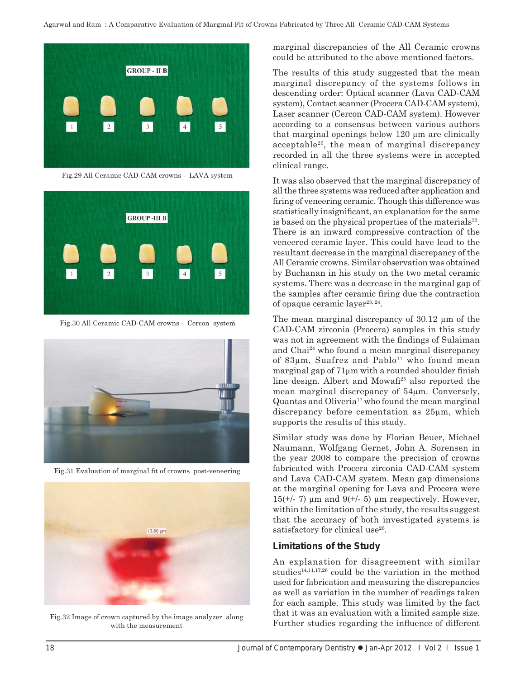

Fig.29 All Ceramic CAD-CAM crowns - LAVA system



Fig.30 All Ceramic CAD-CAM crowns - Cercon system



Fig.31 Evaluation of marginal fit of crowns post-veneering



Fig.32 Image of crown captured by the image analyzer along with the measurement

marginal discrepancies of the All Ceramic crowns could be attributed to the above mentioned factors.

The results of this study suggested that the mean marginal discrepancy of the systems follows in descending order: Optical scanner (Lava CAD-CAM system), Contact scanner (Procera CAD-CAM system), Laser scanner (Cercon CAD-CAM system). However according to a consensus between various authors that marginal openings below 120 μm are clinically acceptable26, the mean of marginal discrepancy recorded in all the three systems were in accepted clinical range.

It was also observed that the marginal discrepancy of all the three systems was reduced after application and firing of veneering ceramic. Though this difference was statistically insignificant, an explanation for the same is based on the physical properties of the materials $^{22}$ . There is an inward compressive contraction of the veneered ceramic layer. This could have lead to the resultant decrease in the marginal discrepancy of the All Ceramic crowns. Similar observation was obtained by Buchanan in his study on the two metal ceramic systems. There was a decrease in the marginal gap of the samples after ceramic firing due the contraction of opaque ceramic layer<sup>23, 24</sup>.

The mean marginal discrepancy of 30.12 μm of the CAD-CAM zirconia (Procera) samples in this study was not in agreement with the findings of Sulaiman and Chai24 who found a mean marginal discrepancy of 83μm, Suafrez and Pablo<sup>11</sup> who found mean marginal gap of  $71\mu m$  with a rounded shoulder finish line design. Albert and Mowafi<sup>25</sup> also reported the mean marginal discrepancy of 54μm. Conversely,  $Quantas and Oliveira<sup>17</sup> who found the mean marginal$ discrepancy before cementation as 25μm, which supports the results of this study.

Similar study was done by Florian Beuer, Michael Naumann, Wolfgang Gernet, John A. Sorensen in the year 2008 to compare the precision of crowns fabricated with Procera zirconia CAD-CAM system and Lava CAD-CAM system. Mean gap dimensions at the marginal opening for Lava and Procera were  $15(+/- 7)$  µm and  $9(+/- 5)$  µm respectively. However, within the limitation of the study, the results suggest that the accuracy of both investigated systems is satisfactory for clinical use<sup>26</sup>.

### **Limitations of the Study**

An explanation for disagreement with similar studies<sup>14,11,17,26</sup> could be the variation in the method used for fabrication and measuring the discrepancies as well as variation in the number of readings taken for each sample. This study was limited by the fact that it was an evaluation with a limited sample size. Further studies regarding the influence of different